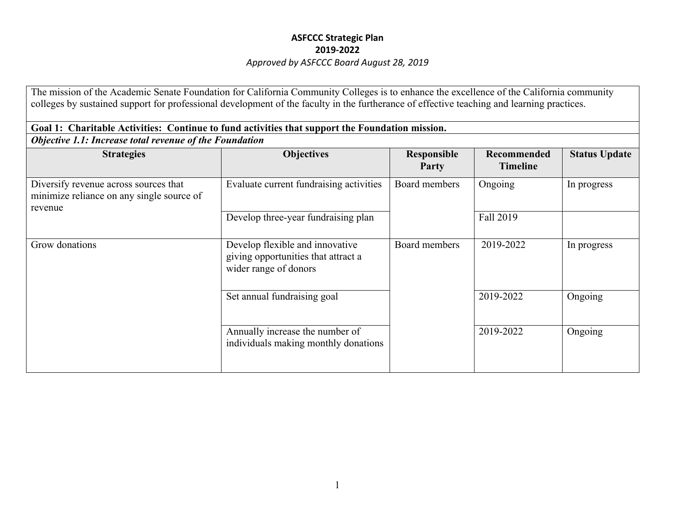The mission of the Academic Senate Foundation for California Community Colleges is to enhance the excellence of the California community colleges by sustained support for professional development of the faculty in the furtherance of effective teaching and learning practices.

| Goal 1: Charitable Activities: Continue to fund activities that support the Foundation mission. |                                                                                                 |                             |                                       |                      |  |
|-------------------------------------------------------------------------------------------------|-------------------------------------------------------------------------------------------------|-----------------------------|---------------------------------------|----------------------|--|
| Objective 1.1: Increase total revenue of the Foundation                                         |                                                                                                 |                             |                                       |                      |  |
| <b>Strategies</b>                                                                               | <b>Objectives</b>                                                                               | <b>Responsible</b><br>Party | <b>Recommended</b><br><b>Timeline</b> | <b>Status Update</b> |  |
| Diversify revenue across sources that<br>minimize reliance on any single source of<br>revenue   | Evaluate current fundraising activities                                                         | Board members               | Ongoing                               | In progress          |  |
|                                                                                                 | Develop three-year fundraising plan                                                             |                             | Fall 2019                             |                      |  |
| Grow donations                                                                                  | Develop flexible and innovative<br>giving opportunities that attract a<br>wider range of donors | Board members               | 2019-2022                             | In progress          |  |
|                                                                                                 | Set annual fundraising goal                                                                     |                             | 2019-2022                             | Ongoing              |  |
|                                                                                                 | Annually increase the number of<br>individuals making monthly donations                         |                             | 2019-2022                             | Ongoing              |  |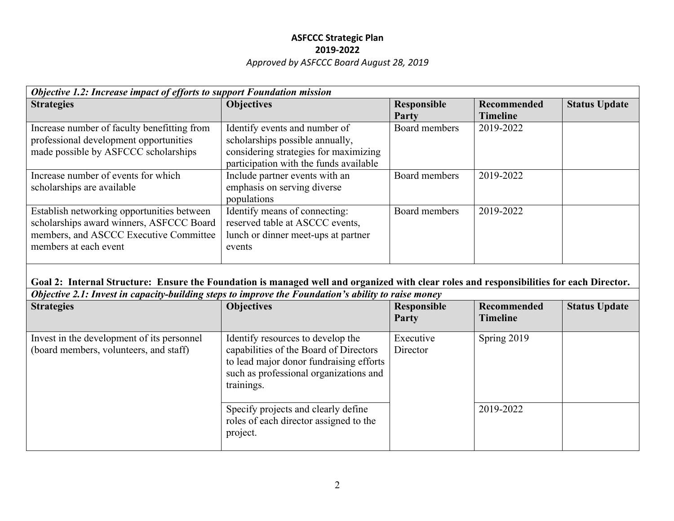| Objective 1.2: Increase impact of efforts to support Foundation mission                                                                                   |                                                                                                                                                     |                      |                                |                      |
|-----------------------------------------------------------------------------------------------------------------------------------------------------------|-----------------------------------------------------------------------------------------------------------------------------------------------------|----------------------|--------------------------------|----------------------|
| <b>Strategies</b>                                                                                                                                         | <b>Objectives</b>                                                                                                                                   | Responsible<br>Party | Recommended<br><b>Timeline</b> | <b>Status Update</b> |
| Increase number of faculty benefitting from<br>professional development opportunities<br>made possible by ASFCCC scholarships                             | Identify events and number of<br>scholarships possible annually,<br>considering strategies for maximizing<br>participation with the funds available | Board members        | 2019-2022                      |                      |
| Increase number of events for which<br>scholarships are available                                                                                         | Include partner events with an<br>emphasis on serving diverse<br>populations                                                                        | Board members        | 2019-2022                      |                      |
| Establish networking opportunities between<br>scholarships award winners, ASFCCC Board<br>members, and ASCCC Executive Committee<br>members at each event | Identify means of connecting:<br>reserved table at ASCCC events,<br>lunch or dinner meet-ups at partner<br>events                                   | Board members        | 2019-2022                      |                      |

#### **Goal 2: Internal Structure: Ensure the Foundation is managed well and organized with clear roles and responsibilities for each Director.**  *Objective 2.1: Invest in capacity-building steps to improve the Foundation's ability to raise money*

| Objective 2.1. Invest in capacity-buttaing steps to improve the Foundation 8 abouty to raise money |                                                                                                                                                                                |                       |                    |                      |
|----------------------------------------------------------------------------------------------------|--------------------------------------------------------------------------------------------------------------------------------------------------------------------------------|-----------------------|--------------------|----------------------|
| <b>Strategies</b>                                                                                  | <b>Objectives</b>                                                                                                                                                              | Responsible           | <b>Recommended</b> | <b>Status Update</b> |
|                                                                                                    |                                                                                                                                                                                | Party                 | Timeline           |                      |
| Invest in the development of its personnel<br>(board members, volunteers, and staff)               | Identify resources to develop the<br>capabilities of the Board of Directors<br>to lead major donor fundraising efforts<br>such as professional organizations and<br>trainings. | Executive<br>Director | Spring 2019        |                      |
|                                                                                                    | Specify projects and clearly define<br>roles of each director assigned to the<br>project.                                                                                      |                       | 2019-2022          |                      |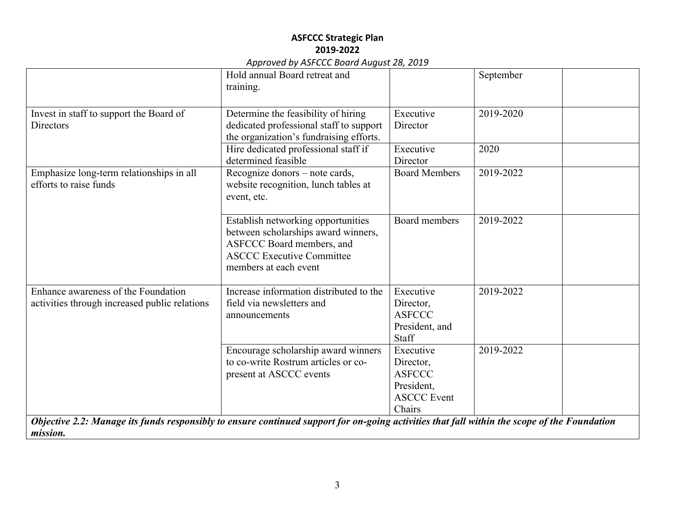|                                                                                                                                                          | Hold annual Board retreat and                                                                                                                                       |                         | September |
|----------------------------------------------------------------------------------------------------------------------------------------------------------|---------------------------------------------------------------------------------------------------------------------------------------------------------------------|-------------------------|-----------|
|                                                                                                                                                          | training.                                                                                                                                                           |                         |           |
|                                                                                                                                                          |                                                                                                                                                                     |                         |           |
| Invest in staff to support the Board of                                                                                                                  | Determine the feasibility of hiring                                                                                                                                 | Executive               | 2019-2020 |
| Directors                                                                                                                                                | dedicated professional staff to support<br>the organization's fundraising efforts.                                                                                  | Director                |           |
|                                                                                                                                                          | Hire dedicated professional staff if<br>determined feasible                                                                                                         | Executive<br>Director   | 2020      |
|                                                                                                                                                          |                                                                                                                                                                     | <b>Board Members</b>    | 2019-2022 |
| Emphasize long-term relationships in all<br>efforts to raise funds                                                                                       | Recognize donors - note cards,<br>website recognition, lunch tables at<br>event, etc.                                                                               |                         |           |
|                                                                                                                                                          | Establish networking opportunities<br>between scholarships award winners,<br>ASFCCC Board members, and<br><b>ASCCC Executive Committee</b><br>members at each event | Board members           | 2019-2022 |
| Enhance awareness of the Foundation<br>activities through increased public relations                                                                     | Increase information distributed to the<br>field via newsletters and                                                                                                | Executive<br>Director,  | 2019-2022 |
|                                                                                                                                                          | announcements                                                                                                                                                       | <b>ASFCCC</b>           |           |
|                                                                                                                                                          |                                                                                                                                                                     | President, and<br>Staff |           |
|                                                                                                                                                          | Encourage scholarship award winners                                                                                                                                 | Executive               | 2019-2022 |
|                                                                                                                                                          | to co-write Rostrum articles or co-                                                                                                                                 | Director,               |           |
|                                                                                                                                                          | present at ASCCC events                                                                                                                                             | <b>ASFCCC</b>           |           |
|                                                                                                                                                          |                                                                                                                                                                     | President,              |           |
|                                                                                                                                                          |                                                                                                                                                                     | <b>ASCCC Event</b>      |           |
|                                                                                                                                                          |                                                                                                                                                                     | Chairs                  |           |
| Objective 2.2: Manage its funds responsibly to ensure continued support for on-going activities that fall within the scope of the Foundation<br>mission. |                                                                                                                                                                     |                         |           |